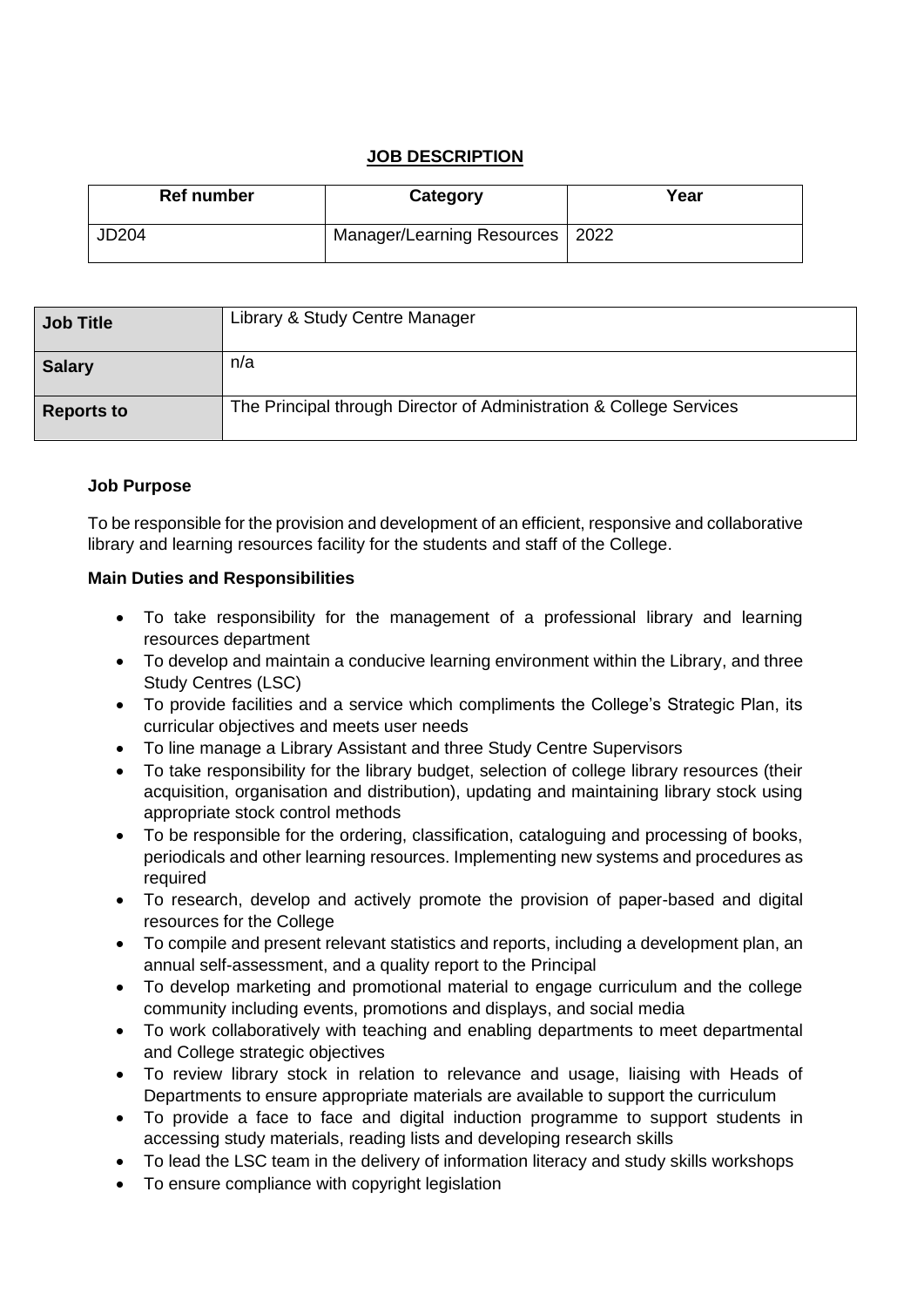# **JOB DESCRIPTION**

| Ref number | Category                          | Year |
|------------|-----------------------------------|------|
| JD204      | Manager/Learning Resources   2022 |      |

| <b>Job Title</b>  | Library & Study Centre Manager                                      |
|-------------------|---------------------------------------------------------------------|
| <b>Salary</b>     | n/a                                                                 |
| <b>Reports to</b> | The Principal through Director of Administration & College Services |

## **Job Purpose**

To be responsible for the provision and development of an efficient, responsive and collaborative library and learning resources facility for the students and staff of the College.

## **Main Duties and Responsibilities**

- To take responsibility for the management of a professional library and learning resources department
- To develop and maintain a conducive learning environment within the Library, and three Study Centres (LSC)
- To provide facilities and a service which compliments the College's Strategic Plan, its curricular objectives and meets user needs
- To line manage a Library Assistant and three Study Centre Supervisors
- To take responsibility for the library budget, selection of college library resources (their acquisition, organisation and distribution), updating and maintaining library stock using appropriate stock control methods
- To be responsible for the ordering, classification, cataloguing and processing of books, periodicals and other learning resources. Implementing new systems and procedures as required
- To research, develop and actively promote the provision of paper-based and digital resources for the College
- To compile and present relevant statistics and reports, including a development plan, an annual self-assessment, and a quality report to the Principal
- To develop marketing and promotional material to engage curriculum and the college community including events, promotions and displays, and social media
- To work collaboratively with teaching and enabling departments to meet departmental and College strategic objectives
- To review library stock in relation to relevance and usage, liaising with Heads of Departments to ensure appropriate materials are available to support the curriculum
- To provide a face to face and digital induction programme to support students in accessing study materials, reading lists and developing research skills
- To lead the LSC team in the delivery of information literacy and study skills workshops
- To ensure compliance with copyright legislation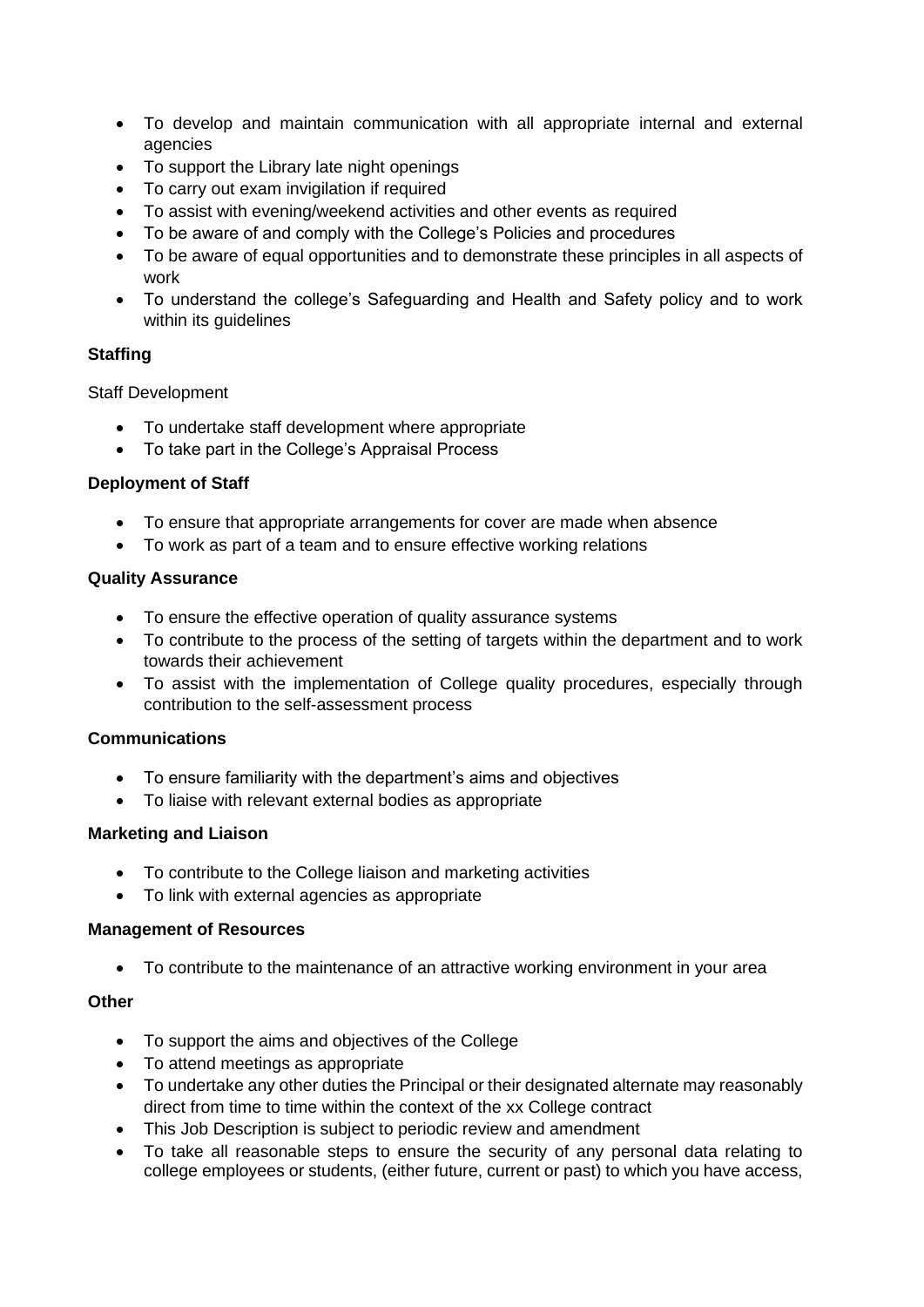- To develop and maintain communication with all appropriate internal and external agencies
- To support the Library late night openings
- To carry out exam invigilation if required
- To assist with evening/weekend activities and other events as required
- To be aware of and comply with the College's Policies and procedures
- To be aware of equal opportunities and to demonstrate these principles in all aspects of work
- To understand the college's Safeguarding and Health and Safety policy and to work within its guidelines

# **Staffing**

Staff Development

- To undertake staff development where appropriate
- To take part in the College's Appraisal Process

## **Deployment of Staff**

- To ensure that appropriate arrangements for cover are made when absence
- To work as part of a team and to ensure effective working relations

## **Quality Assurance**

- To ensure the effective operation of quality assurance systems
- To contribute to the process of the setting of targets within the department and to work towards their achievement
- To assist with the implementation of College quality procedures, especially through contribution to the self-assessment process

# **Communications**

- To ensure familiarity with the department's aims and objectives
- To liaise with relevant external bodies as appropriate

### **Marketing and Liaison**

- To contribute to the College liaison and marketing activities
- To link with external agencies as appropriate

### **Management of Resources**

• To contribute to the maintenance of an attractive working environment in your area

### **Other**

- To support the aims and objectives of the College
- To attend meetings as appropriate
- To undertake any other duties the Principal or their designated alternate may reasonably direct from time to time within the context of the xx College contract
- This Job Description is subject to periodic review and amendment
- To take all reasonable steps to ensure the security of any personal data relating to college employees or students, (either future, current or past) to which you have access,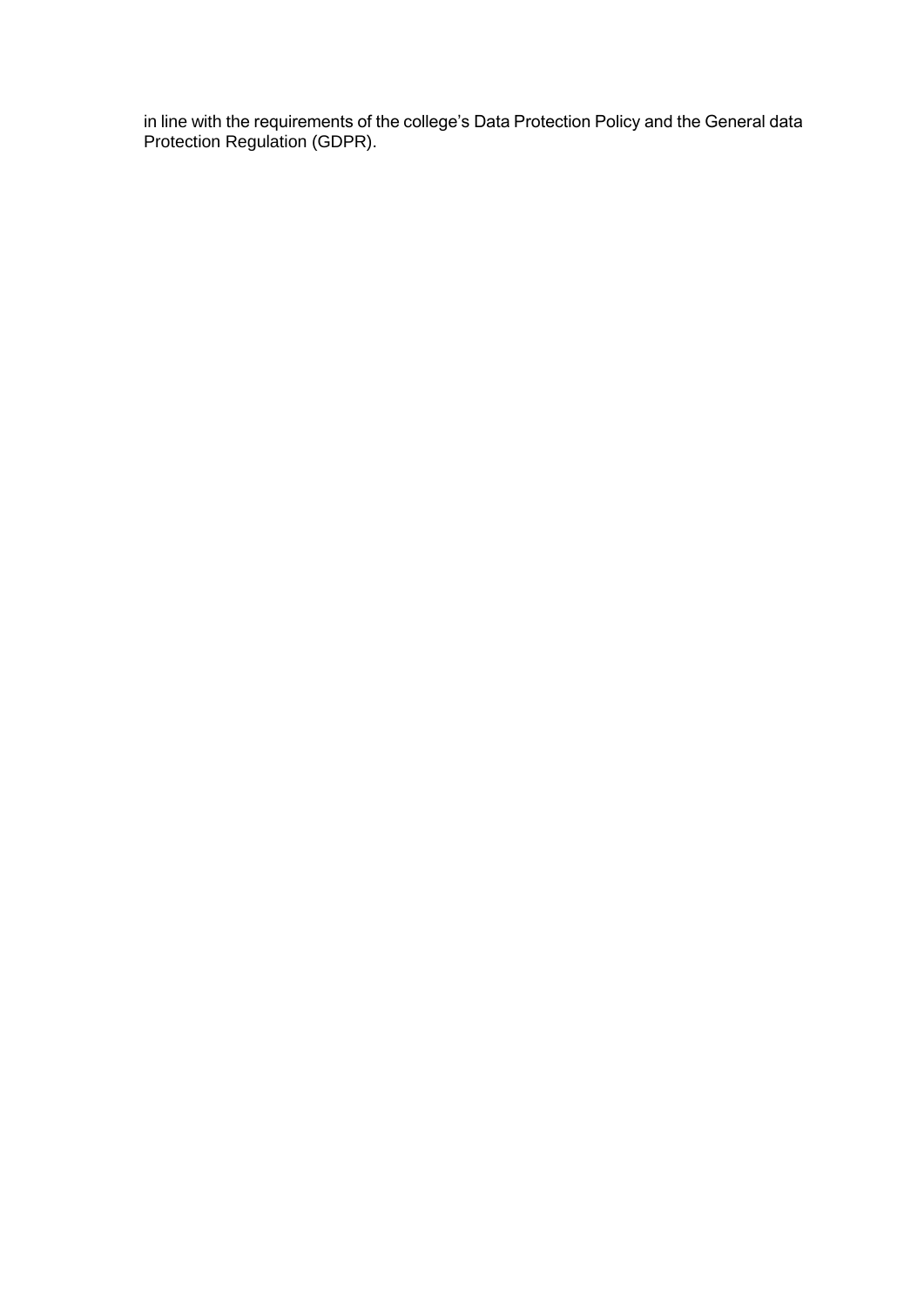in line with the requirements of the college's Data Protection Policy and the General data Protection Regulation (GDPR).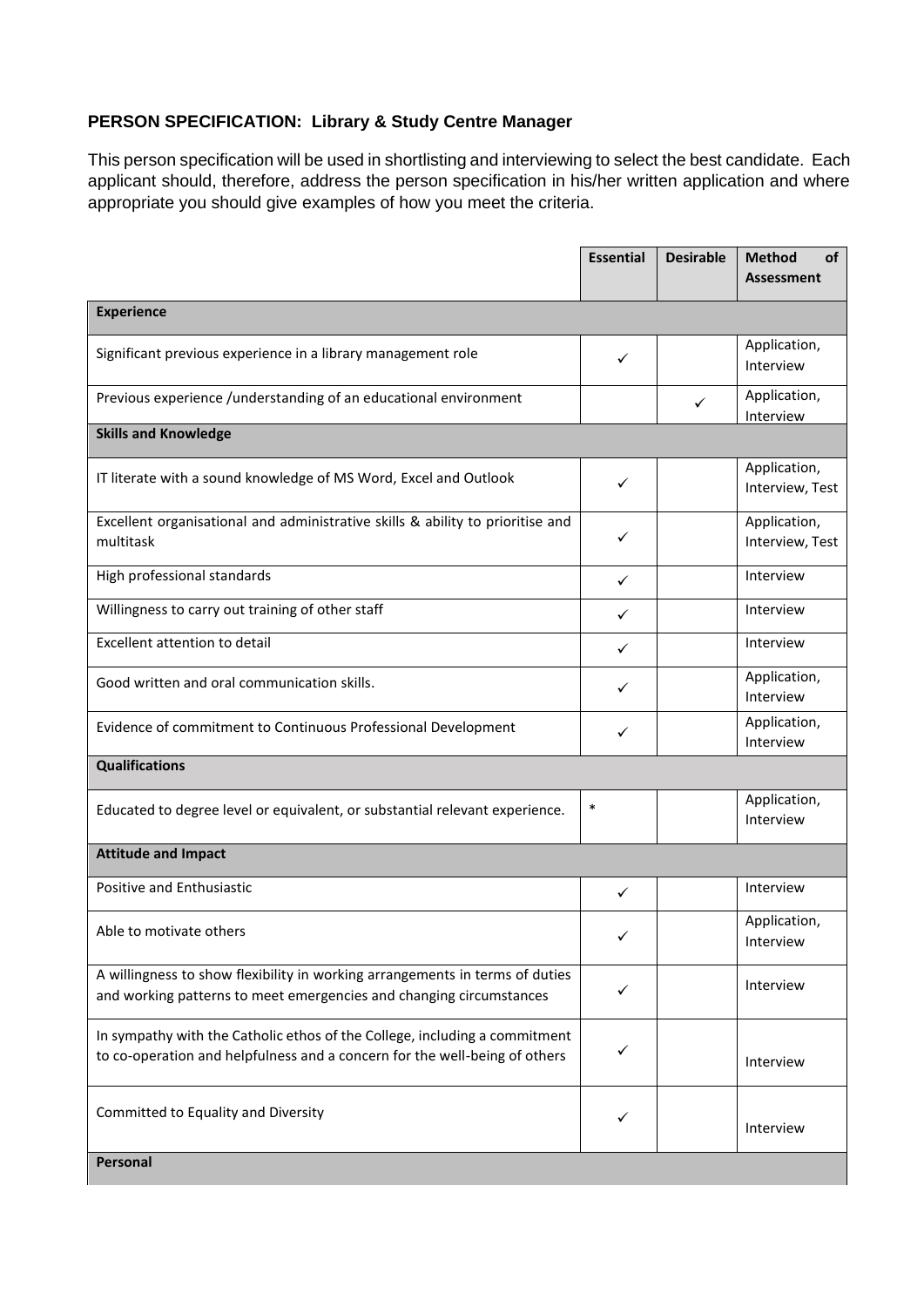# **PERSON SPECIFICATION: Library & Study Centre Manager**

This person specification will be used in shortlisting and interviewing to select the best candidate. Each applicant should, therefore, address the person specification in his/her written application and where appropriate you should give examples of how you meet the criteria.

|                                                                                                                                                          | <b>Essential</b> | <b>Desirable</b> | Method<br>of<br><b>Assessment</b> |  |  |  |
|----------------------------------------------------------------------------------------------------------------------------------------------------------|------------------|------------------|-----------------------------------|--|--|--|
| <b>Experience</b>                                                                                                                                        |                  |                  |                                   |  |  |  |
| Significant previous experience in a library management role                                                                                             | ✓                |                  | Application,<br>Interview         |  |  |  |
| Previous experience /understanding of an educational environment                                                                                         |                  | $\checkmark$     | Application,<br>Interview         |  |  |  |
| <b>Skills and Knowledge</b>                                                                                                                              |                  |                  |                                   |  |  |  |
| IT literate with a sound knowledge of MS Word, Excel and Outlook                                                                                         | ✓                |                  | Application,<br>Interview, Test   |  |  |  |
| Excellent organisational and administrative skills & ability to prioritise and<br>multitask                                                              | ✓                |                  | Application,<br>Interview, Test   |  |  |  |
| High professional standards                                                                                                                              | $\checkmark$     |                  | Interview                         |  |  |  |
| Willingness to carry out training of other staff                                                                                                         | ✓                |                  | Interview                         |  |  |  |
| Excellent attention to detail                                                                                                                            | ✓                |                  | Interview                         |  |  |  |
| Good written and oral communication skills.                                                                                                              | ✓                |                  | Application,<br>Interview         |  |  |  |
| Evidence of commitment to Continuous Professional Development                                                                                            | ✓                |                  | Application,<br>Interview         |  |  |  |
| <b>Qualifications</b>                                                                                                                                    |                  |                  |                                   |  |  |  |
| Educated to degree level or equivalent, or substantial relevant experience.                                                                              | $\ast$           |                  | Application,<br>Interview         |  |  |  |
| <b>Attitude and Impact</b>                                                                                                                               |                  |                  |                                   |  |  |  |
| Positive and Enthusiastic                                                                                                                                | ✓                |                  | Interview                         |  |  |  |
| Able to motivate others                                                                                                                                  | ✓                |                  | Application,<br>Interview         |  |  |  |
| A willingness to show flexibility in working arrangements in terms of duties<br>and working patterns to meet emergencies and changing circumstances      | ✓                |                  | Interview                         |  |  |  |
| In sympathy with the Catholic ethos of the College, including a commitment<br>to co-operation and helpfulness and a concern for the well-being of others | ✓                |                  | Interview                         |  |  |  |
| Committed to Equality and Diversity                                                                                                                      | ✓                |                  | Interview                         |  |  |  |
| Personal                                                                                                                                                 |                  |                  |                                   |  |  |  |